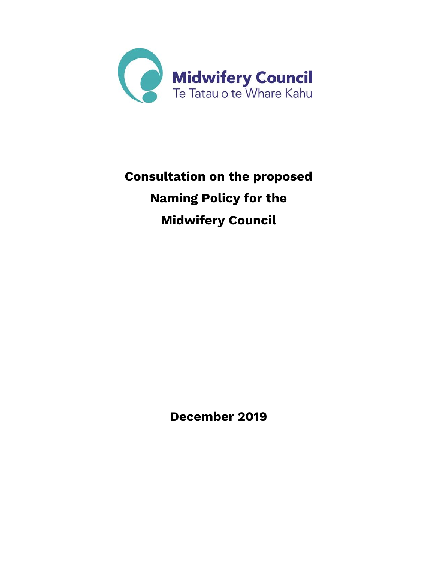

# **Consultation on the proposed Naming Policy for the Midwifery Council**

**December 2019**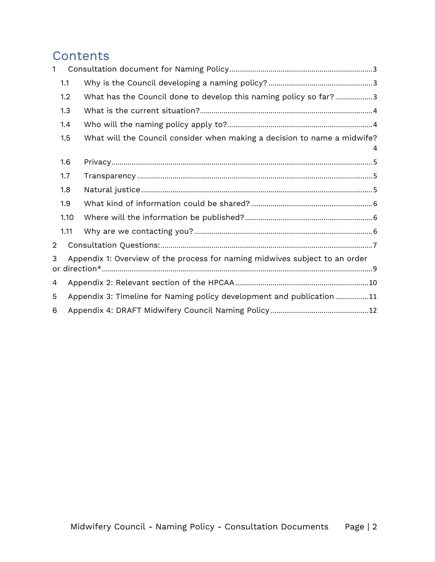# **Contents**

| 1              |      |                                                                             |  |
|----------------|------|-----------------------------------------------------------------------------|--|
|                | 1.1  |                                                                             |  |
|                | 1.2  | What has the Council done to develop this naming policy so far?3            |  |
|                | 1.3  |                                                                             |  |
|                | 1.4  |                                                                             |  |
|                | 1.5  | What will the Council consider when making a decision to name a midwife?    |  |
|                | 1.6  |                                                                             |  |
|                | 1.7  |                                                                             |  |
|                | 1.8  |                                                                             |  |
|                | 1.9  |                                                                             |  |
|                | 1.10 |                                                                             |  |
|                | 1.11 |                                                                             |  |
| $\overline{2}$ |      |                                                                             |  |
| 3              |      | Appendix 1: Overview of the process for naming midwives subject to an order |  |
| 4              |      |                                                                             |  |
| 5              |      | Appendix 3: Timeline for Naming policy development and publication11        |  |
| 6              |      |                                                                             |  |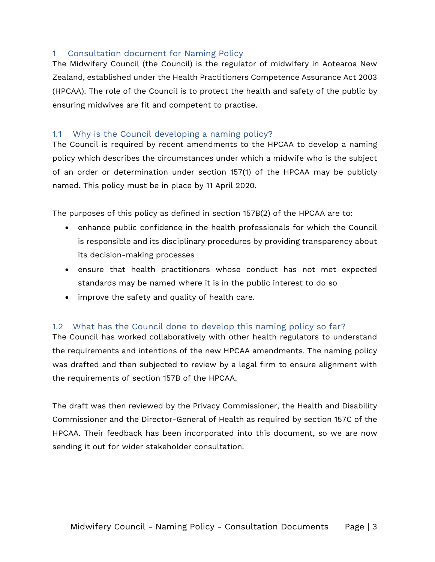#### <span id="page-2-0"></span>1 Consultation document for Naming Policy

The Midwifery Council (the Council) is the regulator of midwifery in Aotearoa New Zealand, established under the Health Practitioners Competence Assurance Act 2003 (HPCAA). The role of the Council is to protect the health and safety of the public by ensuring midwives are fit and competent to practise.

#### <span id="page-2-1"></span>1.1 Why is the Council developing a naming policy?

The Council is required by recent amendments to the HPCAA to develop a naming policy which describes the circumstances under which a midwife who is the subject of an order or determination under section 157(1) of the HPCAA may be publicly named. This policy must be in place by 11 April 2020.

The purposes of this policy as defined in section 157B(2) of the HPCAA are to:

- enhance public confidence in the health professionals for which the Council is responsible and its disciplinary procedures by providing transparency about its decision-making processes
- ensure that health practitioners whose conduct has not met expected standards may be named where it is in the public interest to do so
- improve the safety and quality of health care.

#### <span id="page-2-2"></span>1.2 What has the Council done to develop this naming policy so far?

The Council has worked collaboratively with other health regulators to understand the requirements and intentions of the new HPCAA amendments. The naming policy was drafted and then subjected to review by a legal firm to ensure alignment with the requirements of section 157B of the HPCAA.

The draft was then reviewed by the Privacy Commissioner, the Health and Disability Commissioner and the Director-General of Health as required by section 157C of the HPCAA. Their feedback has been incorporated into this document, so we are now sending it out for wider stakeholder consultation.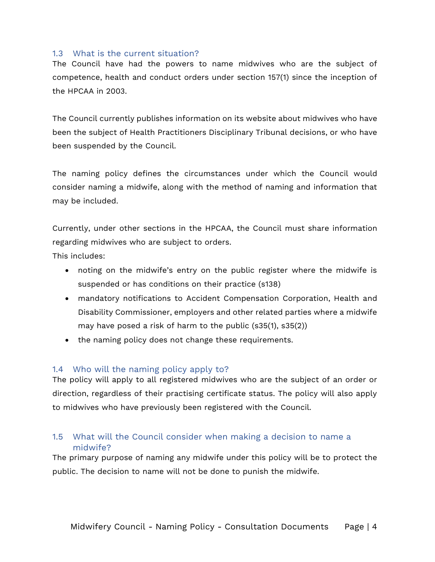#### <span id="page-3-0"></span>1.3 What is the current situation?

The Council have had the powers to name midwives who are the subject of competence, health and conduct orders under section 157(1) since the inception of the HPCAA in 2003.

The Council currently publishes information on its website about midwives who have been the subject of Health Practitioners Disciplinary Tribunal decisions, or who have been suspended by the Council.

The naming policy defines the circumstances under which the Council would consider naming a midwife, along with the method of naming and information that may be included.

Currently, under other sections in the HPCAA, the Council must share information regarding midwives who are subject to orders.

This includes:

- noting on the midwife's entry on the public register where the midwife is suspended or has conditions on their practice (s138)
- mandatory notifications to Accident Compensation Corporation, Health and Disability Commissioner, employers and other related parties where a midwife may have posed a risk of harm to the public (s35(1), s35(2))
- the naming policy does not change these requirements.

#### <span id="page-3-1"></span>1.4 Who will the naming policy apply to?

The policy will apply to all registered midwives who are the subject of an order or direction, regardless of their practising certificate status. The policy will also apply to midwives who have previously been registered with the Council.

#### <span id="page-3-2"></span>1.5 What will the Council consider when making a decision to name a midwife?

The primary purpose of naming any midwife under this policy will be to protect the public. The decision to name will not be done to punish the midwife.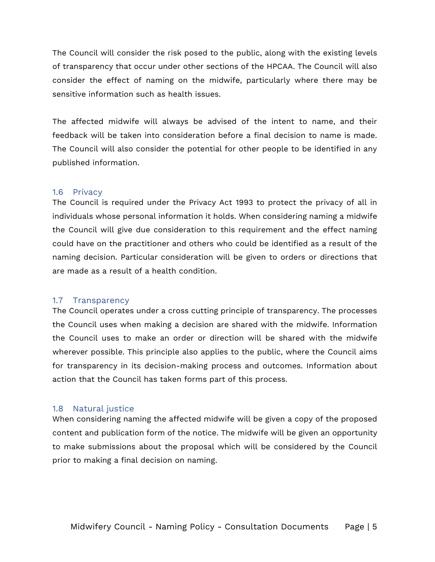The Council will consider the risk posed to the public, along with the existing levels of transparency that occur under other sections of the HPCAA. The Council will also consider the effect of naming on the midwife, particularly where there may be sensitive information such as health issues.

The affected midwife will always be advised of the intent to name, and their feedback will be taken into consideration before a final decision to name is made. The Council will also consider the potential for other people to be identified in any published information.

#### <span id="page-4-0"></span>1.6 Privacy

The Council is required under the Privacy Act 1993 to protect the privacy of all in individuals whose personal information it holds. When considering naming a midwife the Council will give due consideration to this requirement and the effect naming could have on the practitioner and others who could be identified as a result of the naming decision. Particular consideration will be given to orders or directions that are made as a result of a health condition.

#### <span id="page-4-1"></span>1.7 Transparency

The Council operates under a cross cutting principle of transparency. The processes the Council uses when making a decision are shared with the midwife. Information the Council uses to make an order or direction will be shared with the midwife wherever possible. This principle also applies to the public, where the Council aims for transparency in its decision-making process and outcomes. Information about action that the Council has taken forms part of this process.

#### <span id="page-4-2"></span>1.8 Natural justice

When considering naming the affected midwife will be given a copy of the proposed content and publication form of the notice. The midwife will be given an opportunity to make submissions about the proposal which will be considered by the Council prior to making a final decision on naming.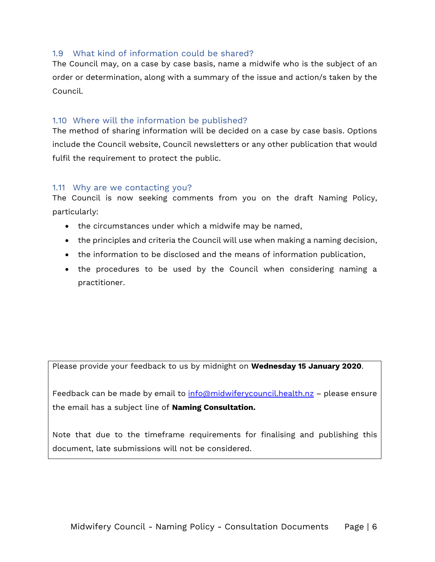#### <span id="page-5-0"></span>1.9 What kind of information could be shared?

The Council may, on a case by case basis, name a midwife who is the subject of an order or determination, along with a summary of the issue and action/s taken by the Council.

#### <span id="page-5-1"></span>1.10 Where will the information be published?

The method of sharing information will be decided on a case by case basis. Options include the Council website, Council newsletters or any other publication that would fulfil the requirement to protect the public.

#### <span id="page-5-2"></span>1.11 Why are we contacting you?

The Council is now seeking comments from you on the draft Naming Policy, particularly:

- the circumstances under which a midwife may be named,
- the principles and criteria the Council will use when making a naming decision,
- the information to be disclosed and the means of information publication,
- the procedures to be used by the Council when considering naming a practitioner.

Please provide your feedback to us by midnight on **Wednesday 15 January 2020**.

Feedback can be made by email to [info@midwiferycouncil.health.nz](mailto:info@midwiferycouncil.health.nz) - please ensure the email has a subject line of **Naming Consultation.**

Note that due to the timeframe requirements for finalising and publishing this document, late submissions will not be considered.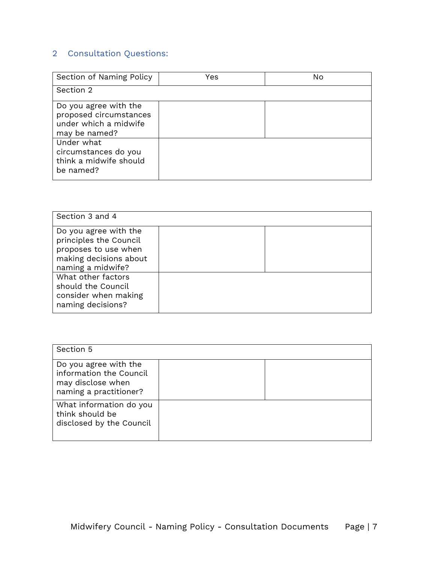### <span id="page-6-0"></span>2 Consultation Questions:

| Section of Naming Policy                                                                  | Yes | No |
|-------------------------------------------------------------------------------------------|-----|----|
| Section 2                                                                                 |     |    |
| Do you agree with the<br>proposed circumstances<br>under which a midwife<br>may be named? |     |    |
| Under what<br>circumstances do you<br>think a midwife should<br>be named?                 |     |    |

| Section 3 and 4                                                                                                        |  |
|------------------------------------------------------------------------------------------------------------------------|--|
| Do you agree with the<br>principles the Council<br>proposes to use when<br>making decisions about<br>naming a midwife? |  |
| What other factors<br>should the Council<br>consider when making<br>naming decisions?                                  |  |

| Section 5                                                                                       |  |
|-------------------------------------------------------------------------------------------------|--|
| Do you agree with the<br>information the Council<br>may disclose when<br>naming a practitioner? |  |
| What information do you<br>think should be<br>disclosed by the Council                          |  |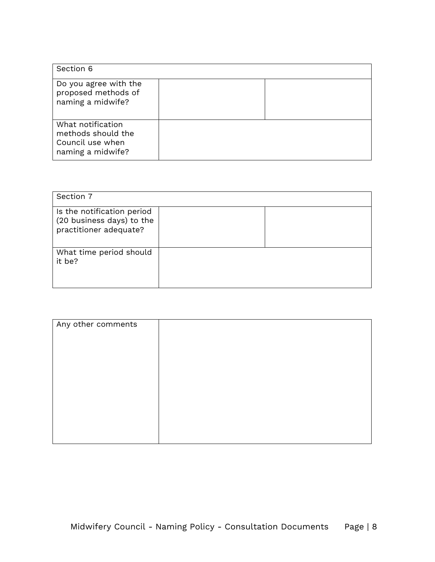| Section 6                                                                        |  |
|----------------------------------------------------------------------------------|--|
| Do you agree with the<br>proposed methods of<br>naming a midwife?                |  |
| What notification<br>methods should the<br>Council use when<br>naming a midwife? |  |

| Section 7                                                                         |  |
|-----------------------------------------------------------------------------------|--|
| Is the notification period<br>(20 business days) to the<br>practitioner adequate? |  |
| What time period should<br>it be?                                                 |  |

| Any other comments |  |
|--------------------|--|
|                    |  |
|                    |  |
|                    |  |
|                    |  |
|                    |  |
|                    |  |
|                    |  |
|                    |  |
|                    |  |
|                    |  |
|                    |  |
|                    |  |
|                    |  |
|                    |  |
|                    |  |
|                    |  |
|                    |  |
|                    |  |
|                    |  |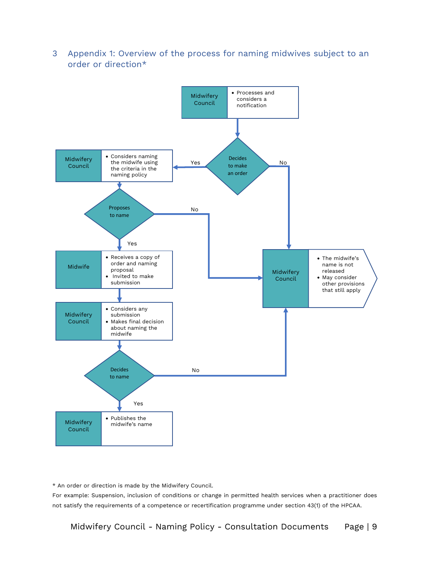<span id="page-8-0"></span>3 Appendix 1: Overview of the process for naming midwives subject to an order or direction\*



\* An order or direction is made by the Midwifery Council.

For example: Suspension, inclusion of conditions or change in permitted health services when a practitioner does not satisfy the requirements of a competence or recertification programme under section 43(1) of the HPCAA.

Midwifery Council - Naming Policy - Consultation Documents Page | 9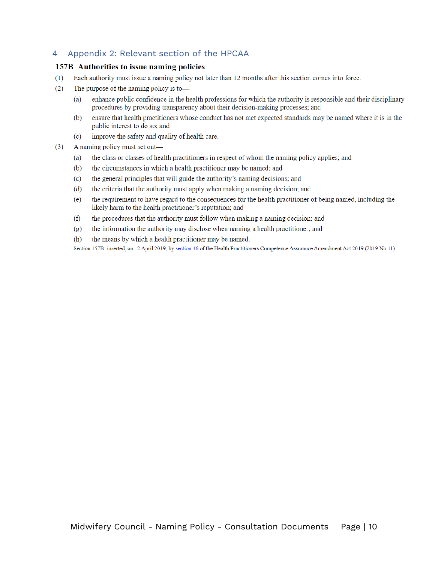#### <span id="page-9-0"></span>4 Appendix 2: Relevant section of the HPCAA

#### 157B Authorities to issue naming policies

- Each authority must issue a naming policy not later than 12 months after this section comes into force.  $(1)$
- The purpose of the naming policy is to- $(2)$ 
	- enhance public confidence in the health professions for which the authority is responsible and their disciplinary  $(a)$ procedures by providing transparency about their decision-making processes; and
	- ensure that health practitioners whose conduct has not met expected standards may be named where it is in the (b) public interest to do so; and
	- improve the safety and quality of health care.  $(c)$
- A naming policy must set out—  $(3)$ 
	- the class or classes of health practitioners in respect of whom the naming policy applies; and  $(a)$
	- $(b)$ the circumstances in which a health practitioner may be named; and
	- the general principles that will guide the authority's naming decisions; and  $(c)$
	- $(d)$ the criteria that the authority must apply when making a naming decision; and
	- the requirement to have regard to the consequences for the health practitioner of being named, including the  $(e)$ likely harm to the health practitioner's reputation; and
	- $(f)$ the procedures that the authority must follow when making a naming decision; and
	- the information the authority may disclose when naming a health practitioner; and  $(g)$
	- (h) the means by which a health practitioner may be named.

Section 157B: inserted, on 12 April 2019, by section 46 of the Health Practitioners Competence Assurance Amendment Act 2019 (2019 No 11).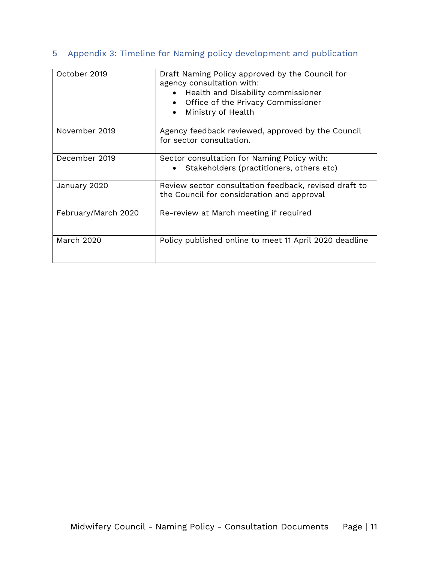### <span id="page-10-0"></span>5 Appendix 3: Timeline for Naming policy development and publication

| October 2019        | Draft Naming Policy approved by the Council for<br>agency consultation with:<br>Health and Disability commissioner<br>Office of the Privacy Commissioner<br>Ministry of Health |
|---------------------|--------------------------------------------------------------------------------------------------------------------------------------------------------------------------------|
| November 2019       | Agency feedback reviewed, approved by the Council<br>for sector consultation.                                                                                                  |
| December 2019       | Sector consultation for Naming Policy with:<br>Stakeholders (practitioners, others etc)                                                                                        |
| January 2020        | Review sector consultation feedback, revised draft to<br>the Council for consideration and approval                                                                            |
| February/March 2020 | Re-review at March meeting if required                                                                                                                                         |
| <b>March 2020</b>   | Policy published online to meet 11 April 2020 deadline                                                                                                                         |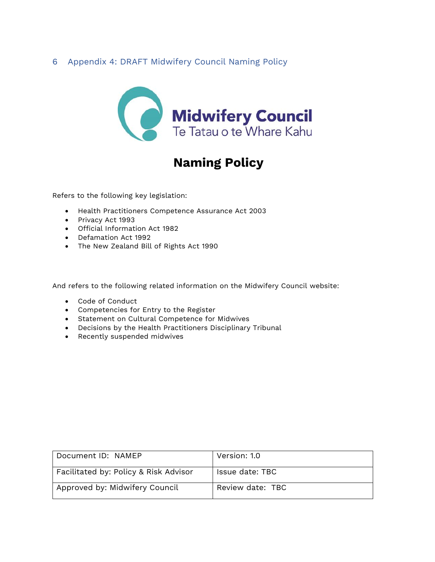#### <span id="page-11-0"></span>6 Appendix 4: DRAFT Midwifery Council Naming Policy



# **Naming Policy**

Refers to the following key legislation:

- Health Practitioners Competence Assurance Act 2003
- Privacy Act 1993
- Official Information Act 1982
- Defamation Act 1992
- The New Zealand Bill of Rights Act 1990

And refers to the following related information on the Midwifery Council website:

- Code of Conduct
- Competencies for Entry to the Register
- Statement on Cultural Competence for Midwives
- Decisions by the Health Practitioners Disciplinary Tribunal
- Recently suspended midwives

| Document ID: NAMEP                    | Version: 1.0     |
|---------------------------------------|------------------|
| Facilitated by: Policy & Risk Advisor | Issue date: TBC  |
| Approved by: Midwifery Council        | Review date: TBC |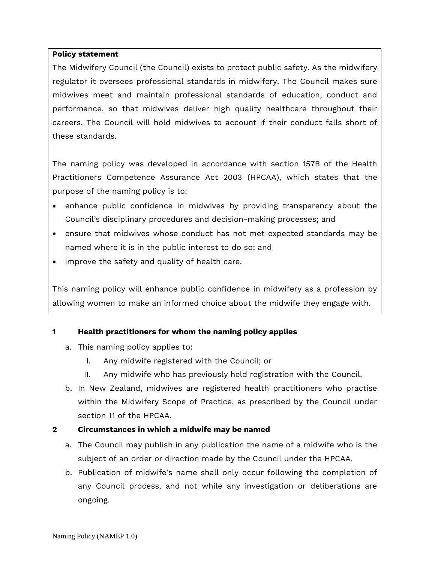#### **Policy statement**

The Midwifery Council (the Council) exists to protect public safety. As the midwifery regulator it oversees professional standards in midwifery. The Council makes sure midwives meet and maintain professional standards of education, conduct and performance, so that midwives deliver high quality healthcare throughout their careers. The Council will hold midwives to account if their conduct falls short of these standards.

The naming policy was developed in accordance with section 157B of the Health Practitioners Competence Assurance Act 2003 (HPCAA), which states that the purpose of the naming policy is to:

- enhance public confidence in midwives by providing transparency about the Council's disciplinary procedures and decision-making processes; and
- ensure that midwives whose conduct has not met expected standards may be named where it is in the public interest to do so; and
- improve the safety and quality of health care.

This naming policy will enhance public confidence in midwifery as a profession by allowing women to make an informed choice about the midwife they engage with.

#### **1 Health practitioners for whom the naming policy applies**

- a. This naming policy applies to:
	- I. Any midwife registered with the Council; or
	- II. Any midwife who has previously held registration with the Council.
- b. In New Zealand, midwives are registered health practitioners who practise within the Midwifery Scope of Practice, as prescribed by the Council under section 11 of the HPCAA.

#### **2 Circumstances in which a midwife may be named**

- a. The Council may publish in any publication the name of a midwife who is the subject of an order or direction made by the Council under the HPCAA.
- b. Publication of midwife's name shall only occur following the completion of any Council process, and not while any investigation or deliberations are ongoing.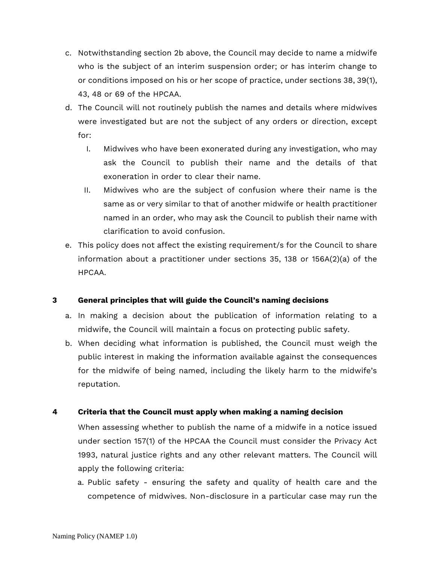- c. Notwithstanding section 2b above, the Council may decide to name a midwife who is the subject of an interim suspension order; or has interim change to or conditions imposed on his or her scope of practice, under sections 38, 39(1), 43, 48 or 69 of the HPCAA.
- d. The Council will not routinely publish the names and details where midwives were investigated but are not the subject of any orders or direction, except for:
	- I. Midwives who have been exonerated during any investigation, who may ask the Council to publish their name and the details of that exoneration in order to clear their name.
	- II. Midwives who are the subject of confusion where their name is the same as or very similar to that of another midwife or health practitioner named in an order, who may ask the Council to publish their name with clarification to avoid confusion.
- e. This policy does not affect the existing requirement/s for the Council to share information about a practitioner under sections 35, 138 or 156A(2)(a) of the HPCAA.

#### **3 General principles that will guide the Council's naming decisions**

- a. In making a decision about the publication of information relating to a midwife, the Council will maintain a focus on protecting public safety.
- b. When deciding what information is published, the Council must weigh the public interest in making the information available against the consequences for the midwife of being named, including the likely harm to the midwife's reputation.

#### **4 Criteria that the Council must apply when making a naming decision**

When assessing whether to publish the name of a midwife in a notice issued under section 157(1) of the HPCAA the Council must consider the Privacy Act 1993, natural justice rights and any other relevant matters. The Council will apply the following criteria:

a. Public safety - ensuring the safety and quality of health care and the competence of midwives. Non-disclosure in a particular case may run the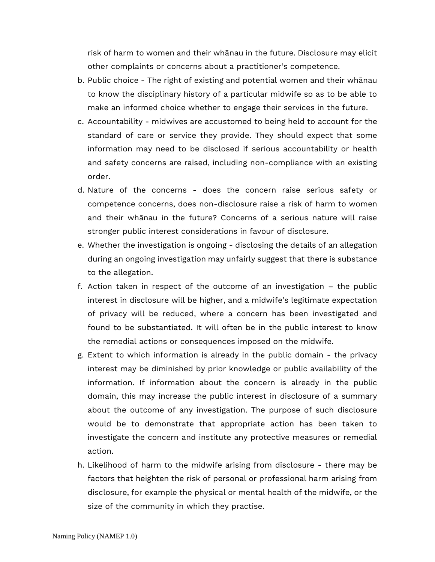risk of harm to women and their whānau in the future. Disclosure may elicit other complaints or concerns about a practitioner's competence.

- b. Public choice The right of existing and potential women and their whānau to know the disciplinary history of a particular midwife so as to be able to make an informed choice whether to engage their services in the future.
- c. Accountability midwives are accustomed to being held to account for the standard of care or service they provide. They should expect that some information may need to be disclosed if serious accountability or health and safety concerns are raised, including non-compliance with an existing order.
- d. Nature of the concerns does the concern raise serious safety or competence concerns, does non-disclosure raise a risk of harm to women and their whānau in the future? Concerns of a serious nature will raise stronger public interest considerations in favour of disclosure.
- e. Whether the investigation is ongoing disclosing the details of an allegation during an ongoing investigation may unfairly suggest that there is substance to the allegation.
- f. Action taken in respect of the outcome of an investigation the public interest in disclosure will be higher, and a midwife's legitimate expectation of privacy will be reduced, where a concern has been investigated and found to be substantiated. It will often be in the public interest to know the remedial actions or consequences imposed on the midwife.
- g. Extent to which information is already in the public domain the privacy interest may be diminished by prior knowledge or public availability of the information. If information about the concern is already in the public domain, this may increase the public interest in disclosure of a summary about the outcome of any investigation. The purpose of such disclosure would be to demonstrate that appropriate action has been taken to investigate the concern and institute any protective measures or remedial action.
- h. Likelihood of harm to the midwife arising from disclosure there may be factors that heighten the risk of personal or professional harm arising from disclosure, for example the physical or mental health of the midwife, or the size of the community in which they practise.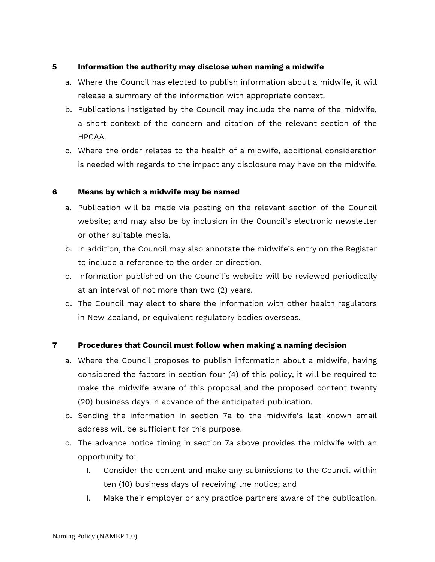#### **5 Information the authority may disclose when naming a midwife**

- a. Where the Council has elected to publish information about a midwife, it will release a summary of the information with appropriate context.
- b. Publications instigated by the Council may include the name of the midwife, a short context of the concern and citation of the relevant section of the HPCAA.
- c. Where the order relates to the health of a midwife, additional consideration is needed with regards to the impact any disclosure may have on the midwife.

#### **6 Means by which a midwife may be named**

- a. Publication will be made via posting on the relevant section of the Council website; and may also be by inclusion in the Council's electronic newsletter or other suitable media.
- b. In addition, the Council may also annotate the midwife's entry on the Register to include a reference to the order or direction.
- c. Information published on the Council's website will be reviewed periodically at an interval of not more than two (2) years.
- d. The Council may elect to share the information with other health regulators in New Zealand, or equivalent regulatory bodies overseas.

#### **7 Procedures that Council must follow when making a naming decision**

- a. Where the Council proposes to publish information about a midwife, having considered the factors in section four (4) of this policy, it will be required to make the midwife aware of this proposal and the proposed content twenty (20) business days in advance of the anticipated publication.
- b. Sending the information in section 7a to the midwife's last known email address will be sufficient for this purpose.
- c. The advance notice timing in section 7a above provides the midwife with an opportunity to:
	- I. Consider the content and make any submissions to the Council within ten (10) business days of receiving the notice; and
	- II. Make their employer or any practice partners aware of the publication.